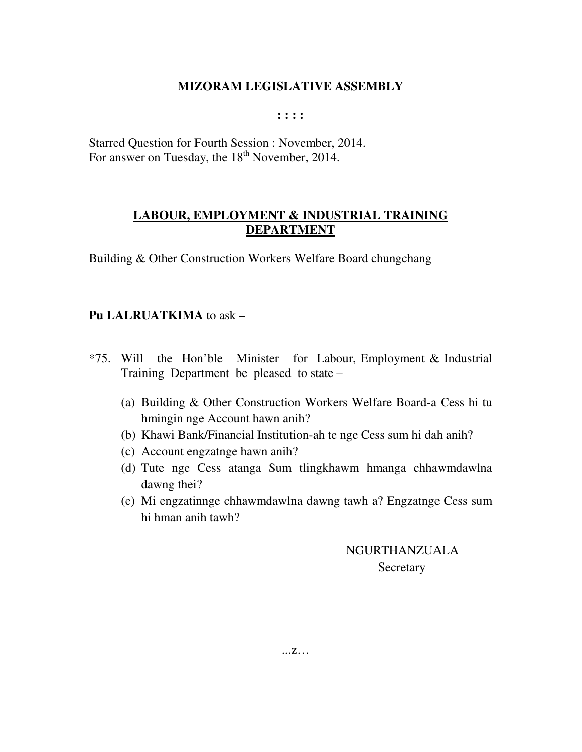**: : : :** 

Starred Question for Fourth Session : November, 2014. For answer on Tuesday, the  $18<sup>th</sup>$  November, 2014.

## **LABOUR, EMPLOYMENT & INDUSTRIAL TRAINING DEPARTMENT**

Building & Other Construction Workers Welfare Board chungchang

## **Pu LALRUATKIMA** to ask –

- \*75. Will the Hon'ble Minister for Labour, Employment & Industrial Training Department be pleased to state –
	- (a) Building & Other Construction Workers Welfare Board-a Cess hi tu hmingin nge Account hawn anih?
	- (b) Khawi Bank/Financial Institution-ah te nge Cess sum hi dah anih?
	- (c) Account engzatnge hawn anih?
	- (d) Tute nge Cess atanga Sum tlingkhawm hmanga chhawmdawlna dawng thei?
	- (e) Mi engzatinnge chhawmdawlna dawng tawh a? Engzatnge Cess sum hi hman anih tawh?

 NGURTHANZUALA **Secretary**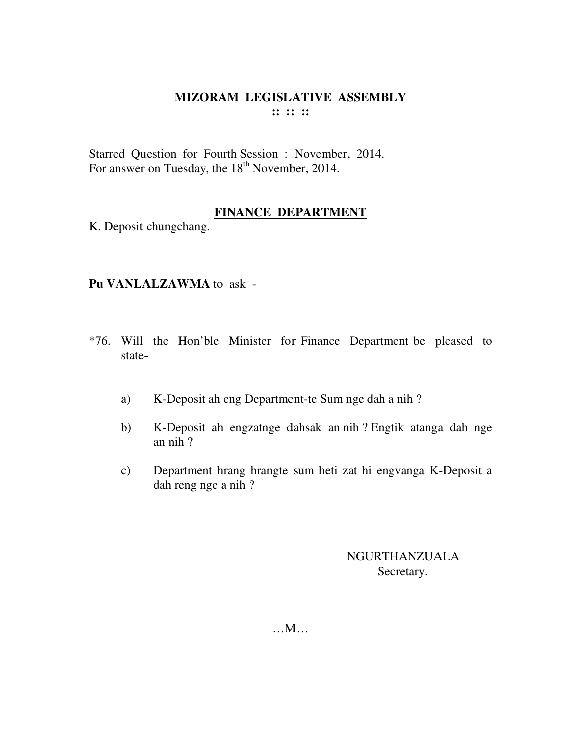Starred Question for Fourth Session : November, 2014. For answer on Tuesday, the 18<sup>th</sup> November, 2014.

## **FINANCE DEPARTMENT**

K. Deposit chungchang.

## **Pu VANLALZAWMA** to ask -

- \*76. Will the Hon'ble Minister for Finance Department be pleased to state
	- a) K-Deposit ah eng Department-te Sum nge dah a nih ?
	- b) K-Deposit ah engzatnge dahsak an nih ? Engtik atanga dah nge an nih ?
	- c) Department hrang hrangte sum heti zat hi engvanga K-Deposit a dah reng nge a nih ?

## NGURTHANZUALA Secretary.

…M…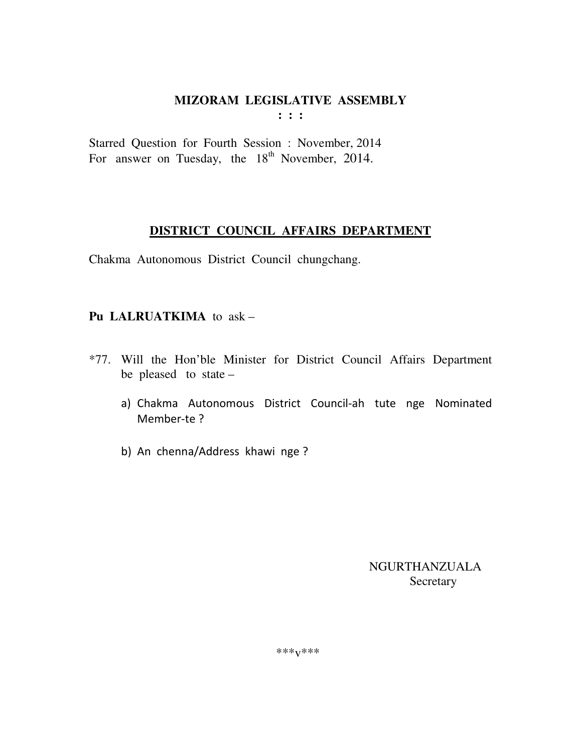$: : :$ 

Starred Question for Fourth Session : November, 2014 For answer on Tuesday, the 18<sup>th</sup> November, 2014.

## DISTRICT COUNCIL AFFAIRS DEPARTMENT

Chakma Autonomous District Council chungchang.

## Pu LALRUATKIMA to ask -

- \*77. Will the Hon'ble Minister for District Council Affairs Department be pleased to state  $$ 
	- a) Chakma Autonomous District Council-ah tute nge Nominated Member-te?
	- b) An chenna/Address khawi nge ?

**NGURTHANZUALA** Secretary

\*\*\* $V$ \*\*\*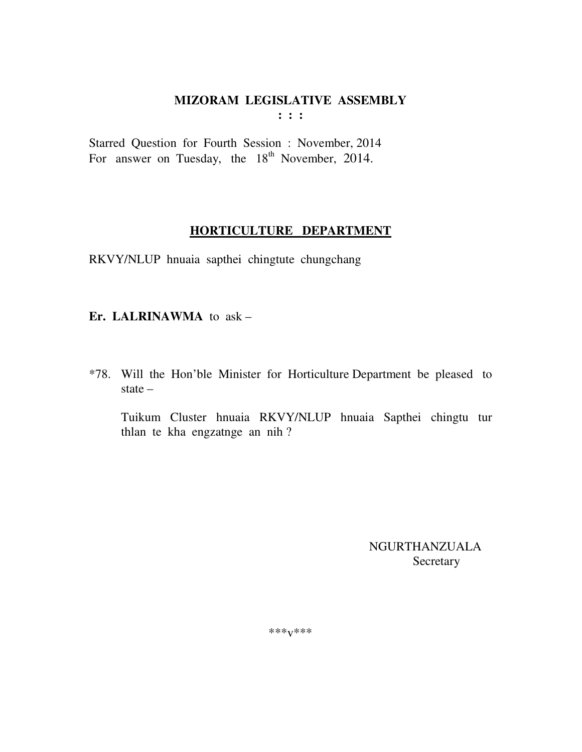$: : :$ 

Starred Question for Fourth Session : November, 2014 For answer on Tuesday, the 18<sup>th</sup> November, 2014.

## HORTICULTURE DEPARTMENT

RKVY/NLUP hnuaia sapthei chingtute chungchang

## Er. LALRINAWMA to ask -

\*78. Will the Hon'ble Minister for Horticulture Department be pleased to state  $-$ 

Tuikum Cluster hnuaia RKVY/NLUP hnuaia Sapthei chingtu tur thlan te kha engzatnge an nih?

> NGURTHANZUALA Secretary

\*\*\* $V$ \*\*\*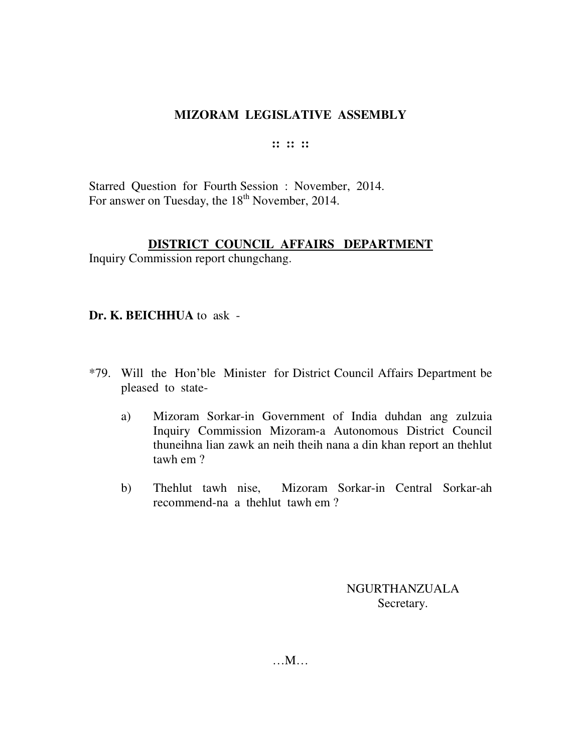#### **:: :: ::**

Starred Question for Fourth Session : November, 2014. For answer on Tuesday, the 18<sup>th</sup> November, 2014.

## **DISTRICT COUNCIL AFFAIRS DEPARTMENT**

Inquiry Commission report chungchang.

## **Dr. K. BEICHHUA** to ask -

- \*79. Will the Hon'ble Minister for District Council Affairs Department be pleased to state
	- a) Mizoram Sorkar-in Government of India duhdan ang zulzuia Inquiry Commission Mizoram-a Autonomous District Council thuneihna lian zawk an neih theih nana a din khan report an thehlut tawh em ?
	- b) Thehlut tawh nise, Mizoram Sorkar-in Central Sorkar-ah recommend-na a thehlut tawh em ?

NGURTHANZUALA Secretary.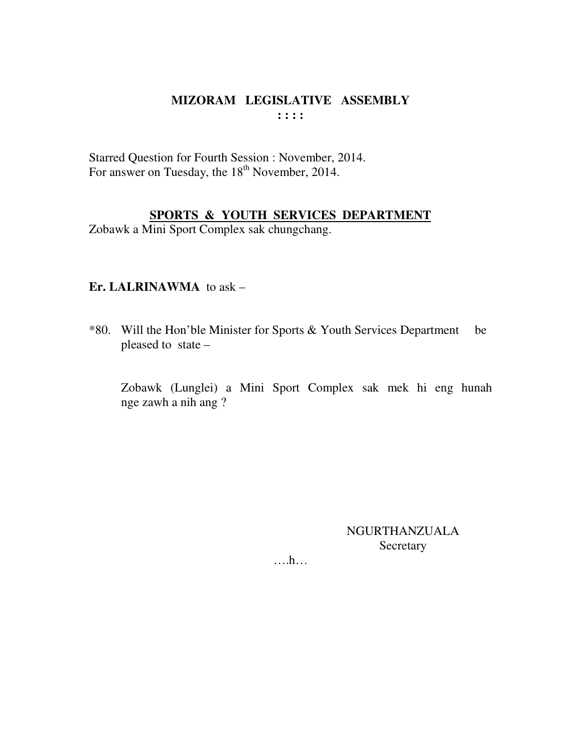Starred Question for Fourth Session : November, 2014. For answer on Tuesday, the 18<sup>th</sup> November, 2014.

## SPORTS & YOUTH SERVICES DEPARTMENT

Zobawk a Mini Sport Complex sak chungchang.

## Er. LALRINAWMA to  $ask -$

\*80. Will the Hon'ble Minister for Sports & Youth Services Department be pleased to state -

Zobawk (Lunglei) a Mini Sport Complex sak mek hi eng hunah nge zawh a nih ang?

> NGURTHANZUALA Secretary

 $\dots h\dots$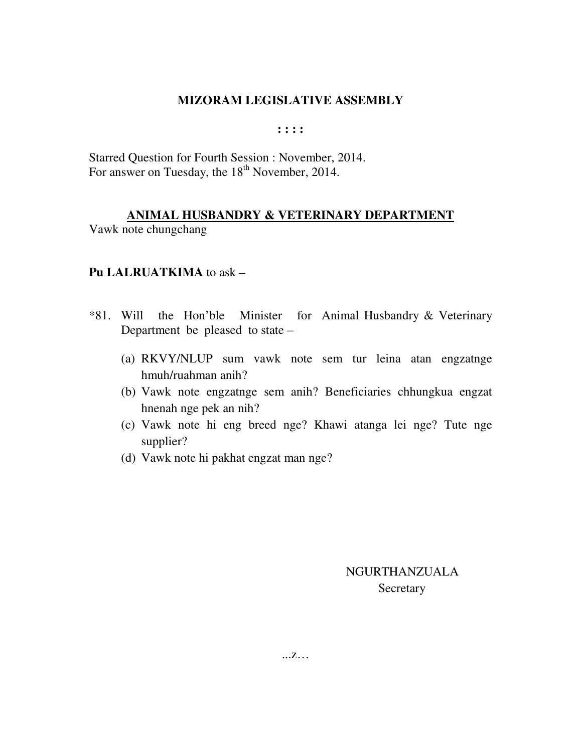**: : : :** 

Starred Question for Fourth Session : November, 2014. For answer on Tuesday, the 18<sup>th</sup> November, 2014.

## **ANIMAL HUSBANDRY & VETERINARY DEPARTMENT**

Vawk note chungchang

#### **Pu LALRUATKIMA** to ask –

- \*81. Will the Hon'ble Minister for Animal Husbandry & Veterinary Department be pleased to state –
	- (a) RKVY/NLUP sum vawk note sem tur leina atan engzatnge hmuh/ruahman anih?
	- (b) Vawk note engzatnge sem anih? Beneficiaries chhungkua engzat hnenah nge pek an nih?
	- (c) Vawk note hi eng breed nge? Khawi atanga lei nge? Tute nge supplier?
	- (d) Vawk note hi pakhat engzat man nge?

 NGURTHANZUALA **Secretary**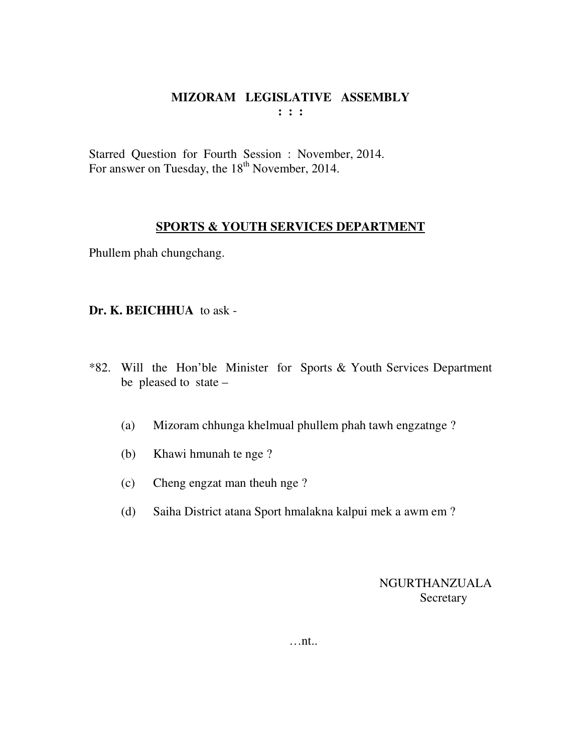Starred Question for Fourth Session : November, 2014. For answer on Tuesday, the 18<sup>th</sup> November, 2014.

## **SPORTS & YOUTH SERVICES DEPARTMENT**

Phullem phah chungchang.

#### **Dr. K. BEICHHUA** to ask -

- \*82. Will the Hon'ble Minister for Sports & Youth Services Department be pleased to state –
	- (a) Mizoram chhunga khelmual phullem phah tawh engzatnge ?
	- (b) Khawi hmunah te nge ?
	- (c) Cheng engzat man theuh nge ?
	- (d) Saiha District atana Sport hmalakna kalpui mek a awm em ?

NGURTHANZUALA **Secretary** 

…nt..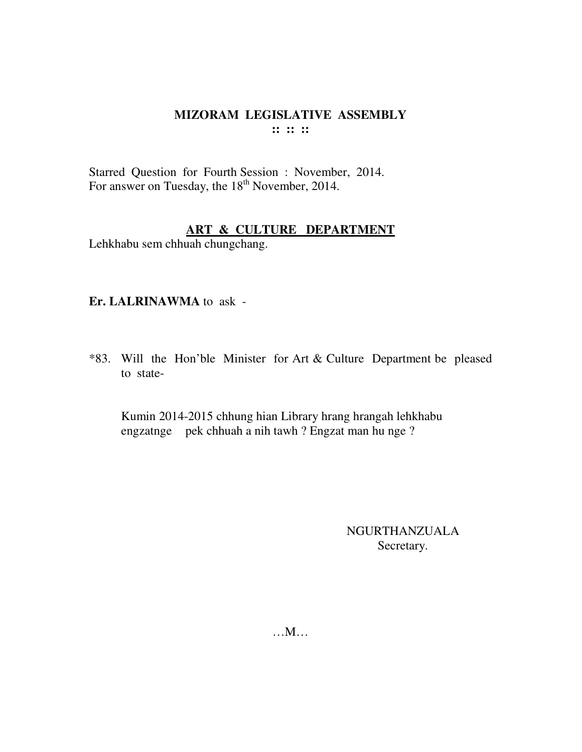Starred Question for Fourth Session : November, 2014. For answer on Tuesday, the 18<sup>th</sup> November, 2014.

#### **ART & CULTURE DEPARTMENT**

Lehkhabu sem chhuah chungchang.

#### **Er. LALRINAWMA** to ask -

\*83. Will the Hon'ble Minister for Art & Culture Department be pleased to state-

 Kumin 2014-2015 chhung hian Library hrang hrangah lehkhabu engzatnge pek chhuah a nih tawh ? Engzat man hu nge ?

> NGURTHANZUALA Secretary.

…M…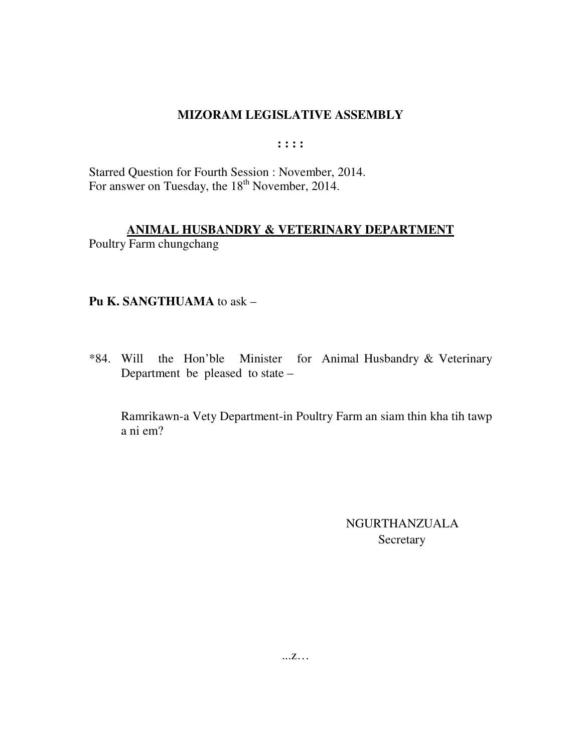$: : : :$ 

Starred Question for Fourth Session : November, 2014. For answer on Tuesday, the 18<sup>th</sup> November, 2014.

## ANIMAL HUSBANDRY & VETERINARY DEPARTMENT

Poultry Farm chungchang

## Pu K. SANGTHUAMA to ask -

\*84. Will the Hon'ble Minister for Animal Husbandry & Veterinary Department be pleased to state -

Ramrikawn-a Vety Department-in Poultry Farm an siam thin kha tih tawp a ni em?

> **NGURTHANZUALA** Secretary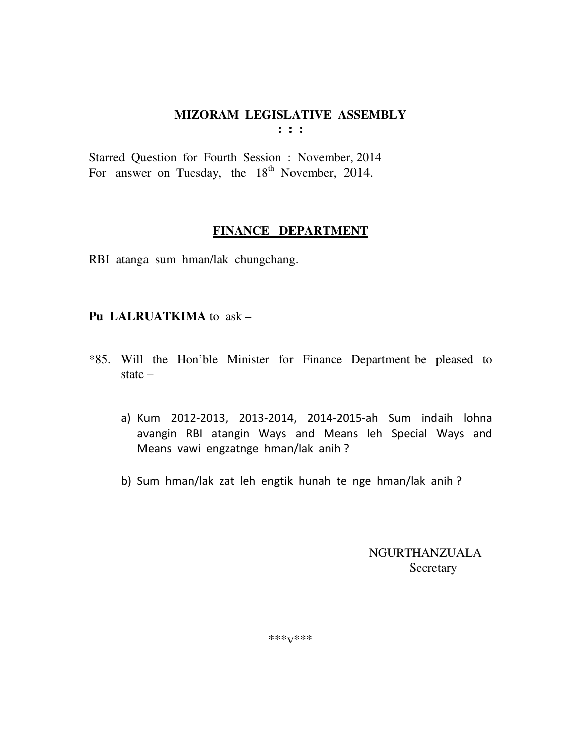Starred Question for Fourth Session : November, 2014 For answer on Tuesday, the  $18<sup>th</sup>$  November, 2014.

## **FINANCE DEPARTMENT**

RBI atanga sum hman/lak chungchang.

## **Pu LALRUATKIMA** to ask –

- \*85. Will the Hon'ble Minister for Finance Department be pleased to state –
	- a) Kum 2012-2013, 2013-2014, 2014-2015-ah Sum indaih lohna avangin RBI atangin Ways and Means leh Special Ways and Means vawi engzatnge hman/lak anih ?
	- b) Sum hman/lak zat leh engtik hunah te nge hman/lak anih ?

 NGURTHANZUALA Secretary

\*\*\*v\*\*\*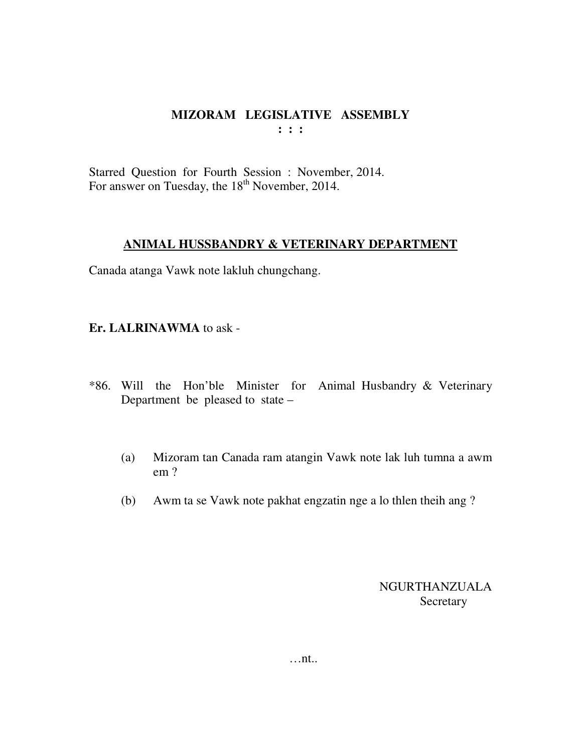Starred Question for Fourth Session : November, 2014. For answer on Tuesday, the 18<sup>th</sup> November, 2014.

#### **ANIMAL HUSSBANDRY & VETERINARY DEPARTMENT**

Canada atanga Vawk note lakluh chungchang.

#### **Er. LALRINAWMA** to ask -

- \*86. Will the Hon'ble Minister for Animal Husbandry & Veterinary Department be pleased to state –
	- (a) Mizoram tan Canada ram atangin Vawk note lak luh tumna a awm em ?
	- (b) Awm ta se Vawk note pakhat engzatin nge a lo thlen theih ang ?

NGURTHANZUALA **Secretary**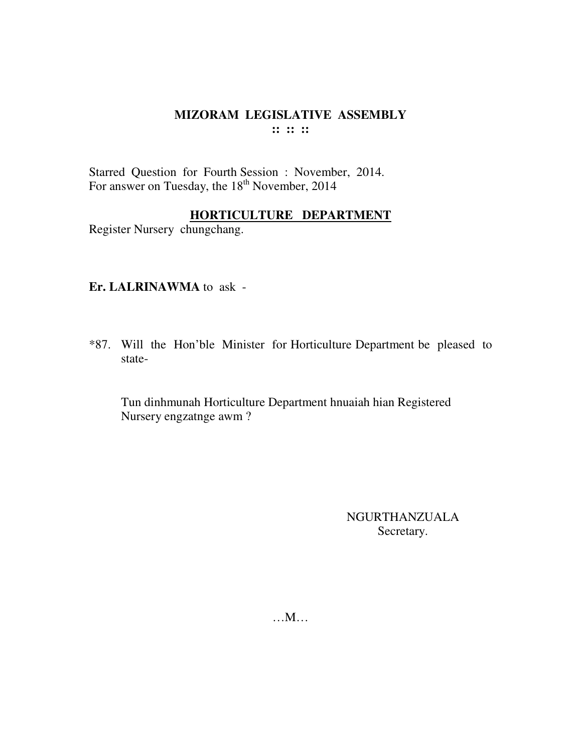#### MIZORAM LEGISLATIVE ASSEMBLY  $\mathbf{::} :: \mathbf{::}$

Starred Question for Fourth Session : November, 2014. For answer on Tuesday, the 18<sup>th</sup> November, 2014

## HORTICULTURE DEPARTMENT

Register Nursery chungchang.

#### Er. LALRINAWMA to ask -

\*87. Will the Hon'ble Minister for Horticulture Department be pleased to state-

Tun dinhmunah Horticulture Department hnuaiah hian Registered Nursery engzatnge awm?

> NGURTHANZUALA Secretary.

 $...M...$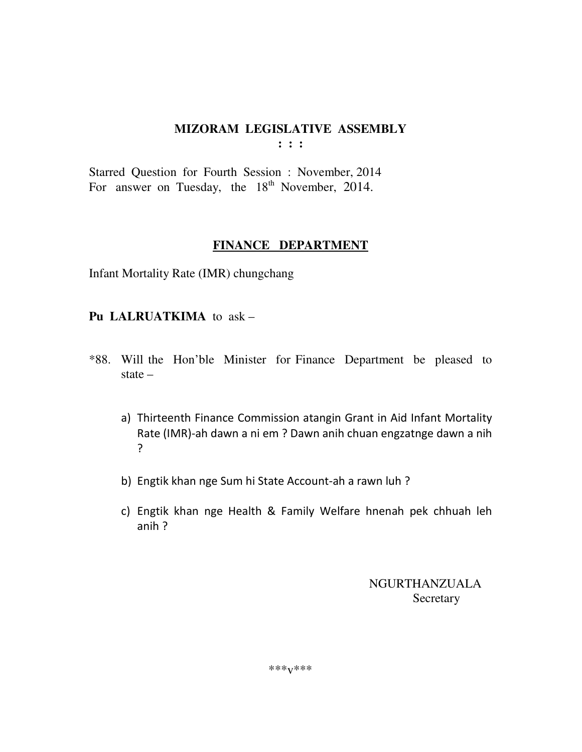Starred Question for Fourth Session : November, 2014 For answer on Tuesday, the  $18<sup>th</sup>$  November, 2014.

#### **FINANCE DEPARTMENT**

Infant Mortality Rate (IMR) chungchang

## **Pu LALRUATKIMA** to ask –

- \*88. Will the Hon'ble Minister for Finance Department be pleased to state –
	- a) Thirteenth Finance Commission atangin Grant in Aid Infant Mortality Rate (IMR)-ah dawn a ni em ? Dawn anih chuan engzatnge dawn a nih ?
	- b) Engtik khan nge Sum hi State Account-ah a rawn luh ?
	- c) Engtik khan nge Health & Family Welfare hnenah pek chhuah leh anih ?

 NGURTHANZUALA Secretary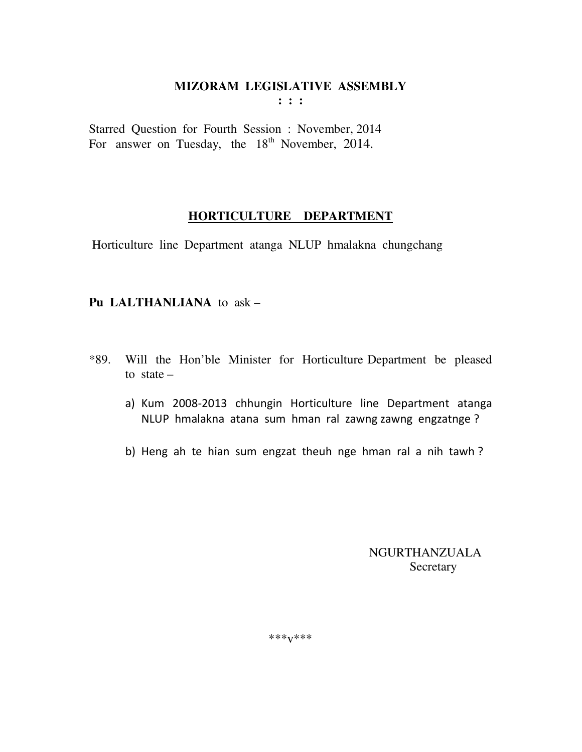Starred Question for Fourth Session : November, 2014 For answer on Tuesday, the  $18<sup>th</sup>$  November, 2014.

#### **HORTICULTURE DEPARTMENT**

Horticulture line Department atanga NLUP hmalakna chungchang

## **Pu LALTHANLIANA** to ask –

- \*89. Will the Hon'ble Minister for Horticulture Department be pleased to state  $$ 
	- a) Kum 2008-2013 chhungin Horticulture line Department atanga NLUP hmalakna atana sum hman ral zawng zawng engzatnge ?
	- b) Heng ah te hian sum engzat theuh nge hman ral a nih tawh ?

 NGURTHANZUALA Secretary

\*\*\*v\*\*\*